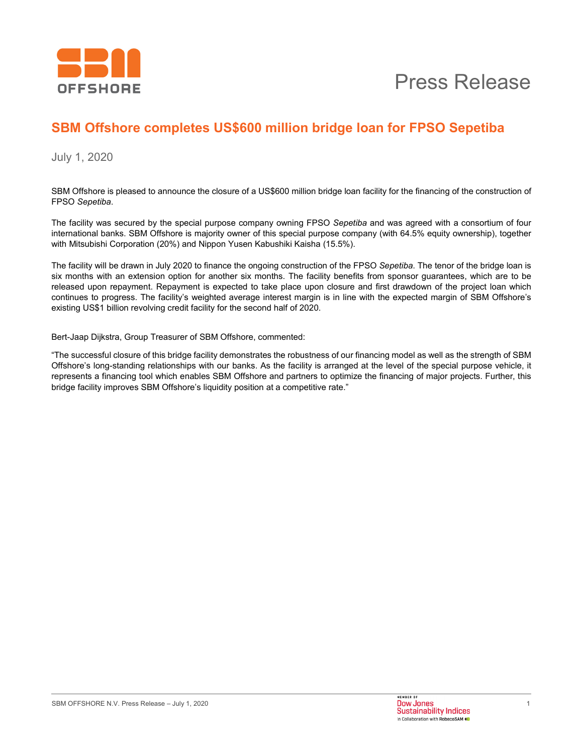

### **SBM Offshore completes US\$600 million bridge loan for FPSO Sepetiba**

July 1, 2020

SBM Offshore is pleased to announce the closure of a US\$600 million bridge loan facility for the financing of the construction of FPSO *Sepetiba*.

The facility was secured by the special purpose company owning FPSO *Sepetiba* and was agreed with a consortium of four international banks. SBM Offshore is majority owner of this special purpose company (with 64.5% equity ownership), together with Mitsubishi Corporation (20%) and Nippon Yusen Kabushiki Kaisha (15.5%).

The facility will be drawn in July 2020 to finance the ongoing construction of the FPSO *Sepetiba*. The tenor of the bridge loan is six months with an extension option for another six months. The facility benefits from sponsor guarantees, which are to be released upon repayment. Repayment is expected to take place upon closure and first drawdown of the project loan which continues to progress. The facility's weighted average interest margin is in line with the expected margin of SBM Offshore's existing US\$1 billion revolving credit facility for the second half of 2020.

Bert-Jaap Dijkstra, Group Treasurer of SBM Offshore, commented:

"The successful closure of this bridge facility demonstrates the robustness of our financing model as well as the strength of SBM Offshore's long-standing relationships with our banks. As the facility is arranged at the level of the special purpose vehicle, it represents a financing tool which enables SBM Offshore and partners to optimize the financing of major projects. Further, this bridge facility improves SBM Offshore's liquidity position at a competitive rate."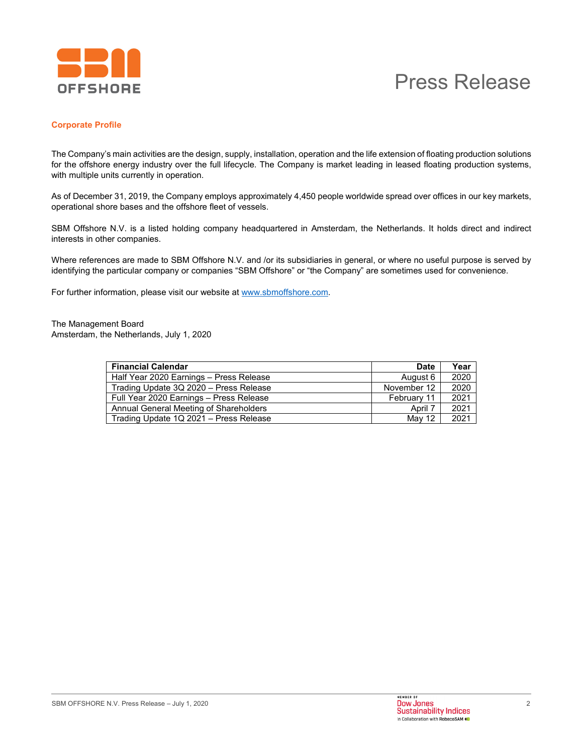

# Press Release

### **Corporate Profile**

The Company's main activities are the design, supply, installation, operation and the life extension of floating production solutions for the offshore energy industry over the full lifecycle. The Company is market leading in leased floating production systems, with multiple units currently in operation.

As of December 31, 2019, the Company employs approximately 4,450 people worldwide spread over offices in our key markets, operational shore bases and the offshore fleet of vessels.

SBM Offshore N.V. is a listed holding company headquartered in Amsterdam, the Netherlands. It holds direct and indirect interests in other companies.

Where references are made to SBM Offshore N.V. and /or its subsidiaries in general, or where no useful purpose is served by identifying the particular company or companies "SBM Offshore" or "the Company" are sometimes used for convenience.

For further information, please visit our website at www.sbmoffshore.com.

The Management Board Amsterdam, the Netherlands, July 1, 2020

| <b>Financial Calendar</b>                                                        | <b>Date</b>       | Year         |
|----------------------------------------------------------------------------------|-------------------|--------------|
| Half Year 2020 Earnings - Press Release                                          | August 6          | 2020         |
| Trading Update 3Q 2020 - Press Release                                           | November 12       | 2020         |
| Full Year 2020 Earnings - Press Release                                          | February 11       | 2021         |
|                                                                                  |                   |              |
|                                                                                  |                   |              |
| Annual General Meeting of Shareholders<br>Trading Update 1Q 2021 - Press Release | April 7<br>May 12 | 2021<br>2021 |